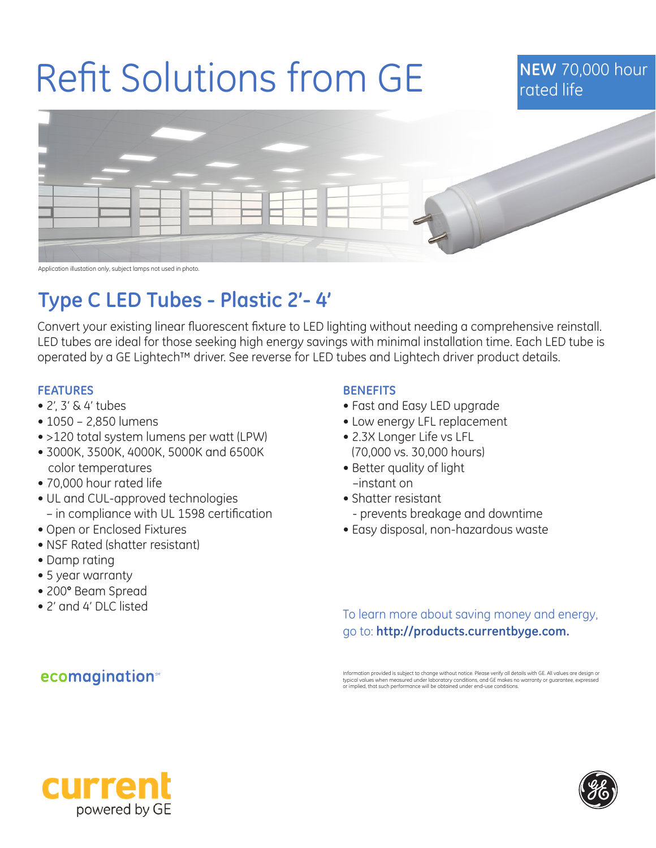# Refit Solutions from GE

## **NEW** 70,000 hour rated life



Application illustation only, subject lamps not used in photo.

# **Type C LED Tubes - Plastic 2'- 4'**

Convert your existing linear fluorescent fixture to LED lighting without needing a comprehensive reinstall. LED tubes are ideal for those seeking high energy savings with minimal installation time. Each LED tube is operated by a GE Lightech™ driver. See reverse for LED tubes and Lightech driver product details.

### **FEATURES**

- 2', 3' & 4' tubes
- 1050 2,850 lumens
- >120 total system lumens per watt (LPW)
- 3000K, 3500K, 4000K, 5000K and 6500K color temperatures
- 70,000 hour rated life
- UL and CUL-approved technologies – in compliance with UL 1598 certification
- Open or Enclosed Fixtures
- NSF Rated (shatter resistant)
- Damp rating
- 5 year warranty
- 200° Beam Spread
- 2' and 4' DLC listed

**ecomagination** 

### **BENEFITS**

- Fast and Easy LED upgrade
- Low energy LFL replacement
- 2.3X Longer Life vs LFL (70,000 vs. 30,000 hours)
- Better quality of light –instant on
- Shatter resistant
	- prevents breakage and downtime
- Easy disposal, non-hazardous waste

To learn more about saving money and energy, go to: **http://products.currentbyge.com.**

Information provided is subject to change without notice. Please verify all details with GE. All values are design or typical values when measured under laboratory conditions, and GE makes no warranty or guarantee, expressed or implied, that such performance will be obtained under end-use conditions.